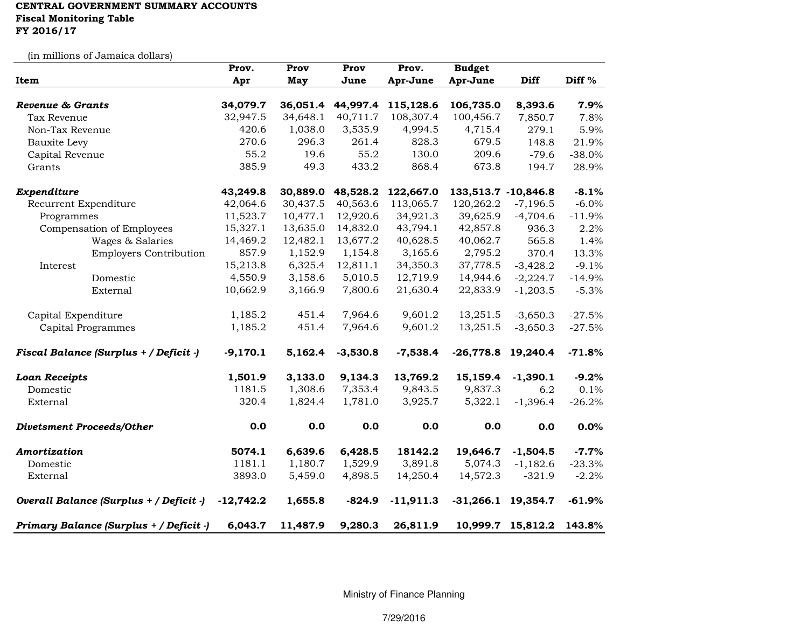## CENTRAL GOVERNMENT SUMMARY ACCOUNTS Fiscal Monitoring TableFY 2016/17

(in millions of Jamaica dollars)

|                                         | Prov.       | Prov     | Prov       | Prov.       | <b>Budget</b> |                     |                   |
|-----------------------------------------|-------------|----------|------------|-------------|---------------|---------------------|-------------------|
| Item                                    | Apr         | May      | June       | Apr-June    | Apr-June      | <b>Diff</b>         | Diff <sup>%</sup> |
|                                         |             |          |            |             |               |                     |                   |
| Revenue & Grants                        | 34,079.7    | 36,051.4 | 44,997.4   | 115,128.6   | 106,735.0     | 8,393.6             | 7.9%              |
| Tax Revenue                             | 32,947.5    | 34,648.1 | 40,711.7   | 108,307.4   | 100,456.7     | 7,850.7             | 7.8%              |
| Non-Tax Revenue                         | 420.6       | 1,038.0  | 3,535.9    | 4,994.5     | 4,715.4       | 279.1               | 5.9%              |
| <b>Bauxite Levy</b>                     | 270.6       | 296.3    | 261.4      | 828.3       | 679.5         | 148.8               | 21.9%             |
| Capital Revenue                         | 55.2        | 19.6     | 55.2       | 130.0       | 209.6         | $-79.6$             | $-38.0%$          |
| Grants                                  | 385.9       | 49.3     | 433.2      | 868.4       | 673.8         | 194.7               | 28.9%             |
| Expenditure                             | 43,249.8    | 30,889.0 | 48,528.2   | 122,667.0   |               | 133,513.7 -10,846.8 | $-8.1%$           |
| Recurrent Expenditure                   | 42,064.6    | 30,437.5 | 40,563.6   | 113,065.7   | 120,262.2     | $-7,196.5$          | $-6.0%$           |
| Programmes                              | 11,523.7    | 10,477.1 | 12,920.6   | 34,921.3    | 39,625.9      | $-4,704.6$          | $-11.9%$          |
| Compensation of Employees               | 15,327.1    | 13,635.0 | 14,832.0   | 43,794.1    | 42,857.8      | 936.3               | 2.2%              |
| Wages & Salaries                        | 14,469.2    | 12,482.1 | 13,677.2   | 40,628.5    | 40,062.7      | 565.8               | 1.4%              |
| <b>Employers Contribution</b>           | 857.9       | 1,152.9  | 1,154.8    | 3,165.6     | 2,795.2       | 370.4               | 13.3%             |
| Interest                                | 15,213.8    | 6,325.4  | 12,811.1   | 34,350.3    | 37,778.5      | $-3,428.2$          | $-9.1%$           |
| Domestic                                | 4,550.9     | 3,158.6  | 5,010.5    | 12,719.9    | 14,944.6      | $-2,224.7$          | $-14.9%$          |
| External                                | 10,662.9    | 3,166.9  | 7,800.6    | 21,630.4    | 22,833.9      | $-1,203.5$          | $-5.3%$           |
| Capital Expenditure                     | 1,185.2     | 451.4    | 7,964.6    | 9,601.2     | 13,251.5      | $-3,650.3$          | $-27.5%$          |
| Capital Programmes                      | 1,185.2     | 451.4    | 7,964.6    | 9,601.2     | 13,251.5      | $-3,650.3$          | $-27.5%$          |
| Fiscal Balance (Surplus + / Deficit -)  | $-9,170.1$  | 5,162.4  | $-3,530.8$ | $-7,538.4$  | $-26,778.8$   | 19,240.4            | $-71.8%$          |
| <b>Loan Receipts</b>                    | 1,501.9     | 3,133.0  | 9,134.3    | 13,769.2    | 15,159.4      | $-1,390.1$          | $-9.2%$           |
| Domestic                                | 1181.5      | 1,308.6  | 7,353.4    | 9,843.5     | 9,837.3       | 6.2                 | 0.1%              |
| External                                | 320.4       | 1,824.4  | 1,781.0    | 3,925.7     | 5,322.1       | $-1,396.4$          | $-26.2%$          |
| <b>Divetsment Proceeds/Other</b>        | 0.0         | 0.0      | 0.0        | 0.0         | 0.0           | 0.0                 | 0.0%              |
| Amortization                            | 5074.1      | 6,639.6  | 6,428.5    | 18142.2     | 19,646.7      | $-1,504.5$          | $-7.7%$           |
| Domestic                                | 1181.1      | 1,180.7  | 1,529.9    | 3,891.8     | 5,074.3       | $-1,182.6$          | $-23.3%$          |
| External                                | 3893.0      | 5,459.0  | 4,898.5    | 14,250.4    | 14,572.3      | $-321.9$            | $-2.2%$           |
| Overall Balance (Surplus + / Deficit -) | $-12,742.2$ | 1,655.8  | $-824.9$   | $-11,911.3$ | $-31,266.1$   | 19,354.7            | $-61.9%$          |
| Primary Balance (Surplus + / Deficit -) | 6,043.7     | 11,487.9 | 9,280.3    | 26,811.9    |               | 10,999.7 15,812.2   | 143.8%            |

Ministry of Finance Planning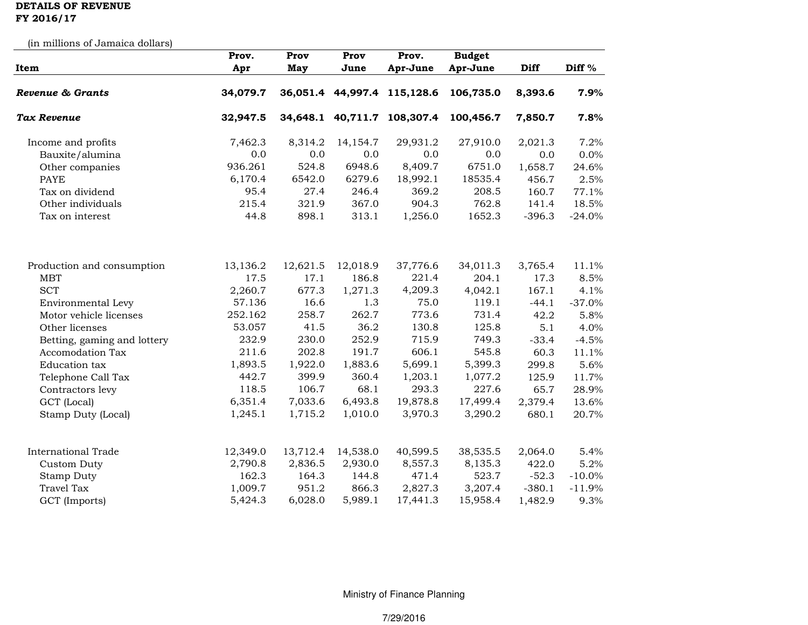## DETAILS OF REVENUE FY 2016/17

| (in millions of Jamaica dollars) | Prov.    | Prov     | Prov              | Prov.                       | <b>Budget</b> |          |                   |
|----------------------------------|----------|----------|-------------------|-----------------------------|---------------|----------|-------------------|
| Item                             | Apr      | May      | June              | Apr-June                    | Apr-June      | Diff     | Diff <sup>%</sup> |
| <b>Revenue &amp; Grants</b>      | 34,079.7 |          |                   | 36,051.4 44,997.4 115,128.6 | 106,735.0     | 8,393.6  | 7.9%              |
| Tax Revenue                      | 32,947.5 |          | 34,648.1 40,711.7 | 108,307.4                   | 100,456.7     | 7,850.7  | 7.8%              |
| Income and profits               | 7,462.3  | 8,314.2  | 14,154.7          | 29,931.2                    | 27,910.0      | 2,021.3  | 7.2%              |
| Bauxite/alumina                  | 0.0      | 0.0      | 0.0               | 0.0                         | 0.0           | 0.0      | 0.0%              |
| Other companies                  | 936.261  | 524.8    | 6948.6            | 8,409.7                     | 6751.0        | 1,658.7  | 24.6%             |
| <b>PAYE</b>                      | 6,170.4  | 6542.0   | 6279.6            | 18,992.1                    | 18535.4       | 456.7    | 2.5%              |
| Tax on dividend                  | 95.4     | 27.4     | 246.4             | 369.2                       | 208.5         | 160.7    | 77.1%             |
| Other individuals                | 215.4    | 321.9    | 367.0             | 904.3                       | 762.8         | 141.4    | 18.5%             |
| Tax on interest                  | 44.8     | 898.1    | 313.1             | 1,256.0                     | 1652.3        | $-396.3$ | $-24.0%$          |
| Production and consumption       | 13,136.2 | 12,621.5 | 12,018.9          | 37,776.6                    | 34,011.3      | 3,765.4  | 11.1%             |
| <b>MBT</b>                       | 17.5     | 17.1     | 186.8             | 221.4                       | 204.1         | 17.3     | 8.5%              |
| <b>SCT</b>                       | 2,260.7  | 677.3    | 1,271.3           | 4,209.3                     | 4,042.1       | 167.1    | 4.1%              |
| Environmental Levy               | 57.136   | 16.6     | 1.3               | 75.0                        | 119.1         | $-44.1$  | $-37.0%$          |
| Motor vehicle licenses           | 252.162  | 258.7    | 262.7             | 773.6                       | 731.4         | 42.2     | 5.8%              |
| Other licenses                   | 53.057   | 41.5     | 36.2              | 130.8                       | 125.8         | 5.1      | 4.0%              |
| Betting, gaming and lottery      | 232.9    | 230.0    | 252.9             | 715.9                       | 749.3         | $-33.4$  | $-4.5%$           |
| <b>Accomodation Tax</b>          | 211.6    | 202.8    | 191.7             | 606.1                       | 545.8         | 60.3     | 11.1%             |
| Education tax                    | 1,893.5  | 1,922.0  | 1,883.6           | 5,699.1                     | 5,399.3       | 299.8    | 5.6%              |
| Telephone Call Tax               | 442.7    | 399.9    | 360.4             | 1,203.1                     | 1,077.2       | 125.9    | 11.7%             |
| Contractors levy                 | 118.5    | 106.7    | 68.1              | 293.3                       | 227.6         | 65.7     | 28.9%             |
| GCT (Local)                      | 6,351.4  | 7,033.6  | 6,493.8           | 19,878.8                    | 17,499.4      | 2,379.4  | 13.6%             |
| Stamp Duty (Local)               | 1,245.1  | 1,715.2  | 1,010.0           | 3,970.3                     | 3,290.2       | 680.1    | 20.7%             |
| <b>International Trade</b>       | 12,349.0 | 13,712.4 | 14,538.0          | 40,599.5                    | 38,535.5      | 2,064.0  | 5.4%              |
| Custom Duty                      | 2,790.8  | 2,836.5  | 2,930.0           | 8,557.3                     | 8,135.3       | 422.0    | 5.2%              |
| <b>Stamp Duty</b>                | 162.3    | 164.3    | 144.8             | 471.4                       | 523.7         | $-52.3$  | $-10.0\%$         |
| <b>Travel Tax</b>                | 1,009.7  | 951.2    | 866.3             | 2,827.3                     | 3,207.4       | $-380.1$ | $-11.9%$          |
| GCT (Imports)                    | 5,424.3  | 6,028.0  | 5,989.1           | 17,441.3                    | 15,958.4      | 1,482.9  | 9.3%              |

Ministry of Finance Planning